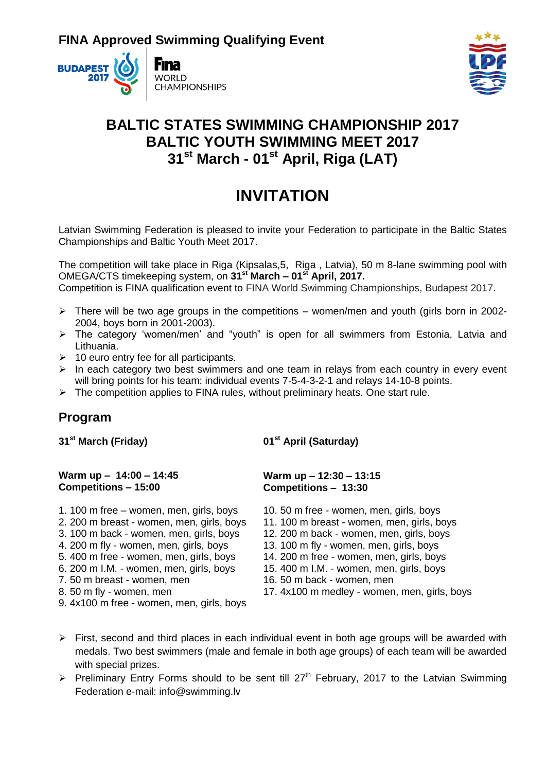



## **BALTIC STATES SWIMMING CHAMPIONSHIP 2017 BALTIC YOUTH SWIMMING MEET 2017 31st March - 01st April, Riga (LAT)**

# **INVITATION**

Latvian Swimming Federation is pleased to invite your Federation to participate in the Baltic States Championships and Baltic Youth Meet 2017.

The competition will take place in Riga (Kipsalas,5, Riga , Latvia), 50 m 8-lane swimming pool with OMEGA/CTS timekeeping system, on **31st March – 01st April, 2017.**  Competition is FINA qualification event to FINA World Swimming Championships, Budapest 2017.

- $\triangleright$  There will be two age groups in the competitions women/men and youth (girls born in 2002-2004, boys born in 2001-2003).
- The category 'women/men' and "youth" is open for all swimmers from Estonia, Latvia and Lithuania.
- $\geq 10$  euro entry fee for all participants.
- $\triangleright$  In each category two best swimmers and one team in relays from each country in every event will bring points for his team: individual events 7-5-4-3-2-1 and relays 14-10-8 points.
- $\triangleright$  The competition applies to FINA rules, without preliminary heats. One start rule.

### **Program**

**31st March (Friday)** 

**01st April (Saturday)** 

#### **Warm up – 14:00 – 14:45 Competitions – 15:00**

- 1. 100 m free women, men, girls, boys 10. 50 m free women, men, girls, boys
- 
- 
- 
- 
- 
- 
- 
- 9. 4x100 m free women, men, girls, boys

#### **Warm up – 12:30 – 13:15 Competitions – 13:30**

- 
- 2. 200 m breast women, men, girls, boys 11. 100 m breast women, men, girls, boys
- 3. 100 m back women, men, girls, boys 12. 200 m back women, men, girls, boys
- 4. 200 m fly women, men, girls, boys 13. 100 m fly women, men, girls, boys
- 5. 400 m free women, men, girls, boys 14. 200 m free women, men, girls, boys
- 6. 200 m I.M. women, men, girls, boys 15. 400 m I.M. women, men, girls, boys
- 7. 50 m breast women, men 16. 50 m back women, men
- 8. 50 m fly women, men 18. 17. 4x100 m medley women, men, girls, boys
- $\triangleright$  First, second and third places in each individual event in both age groups will be awarded with medals. Two best swimmers (male and female in both age groups) of each team will be awarded with special prizes.
- Preliminary Entry Forms should to be sent till  $27<sup>th</sup>$  February, 2017 to the Latvian Swimming Federation e-mail: info@swimming.lv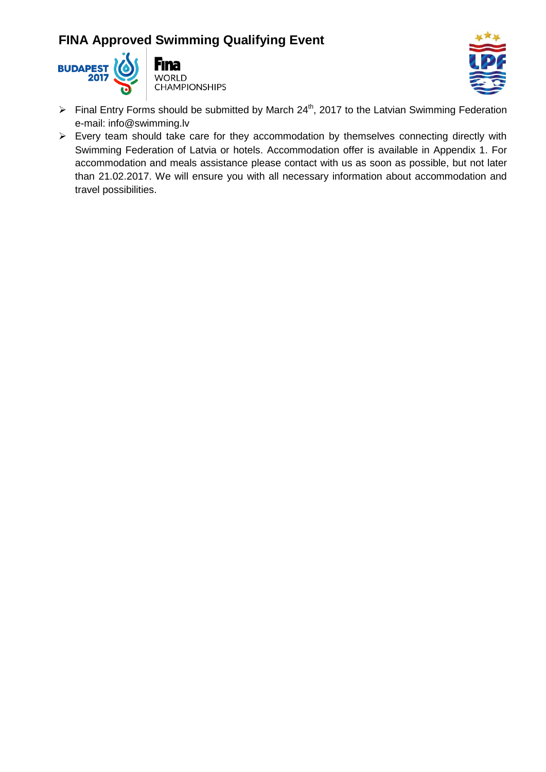



- Final Entry Forms should be submitted by March 24<sup>th</sup>, 2017 to the Latvian Swimming Federation e-mail: info@swimming.lv
- $\triangleright$  Every team should take care for they accommodation by themselves connecting directly with Swimming Federation of Latvia or hotels. Accommodation offer is available in Appendix 1. For accommodation and meals assistance please contact with us as soon as possible, but not later than 21.02.2017. We will ensure you with all necessary information about accommodation and travel possibilities.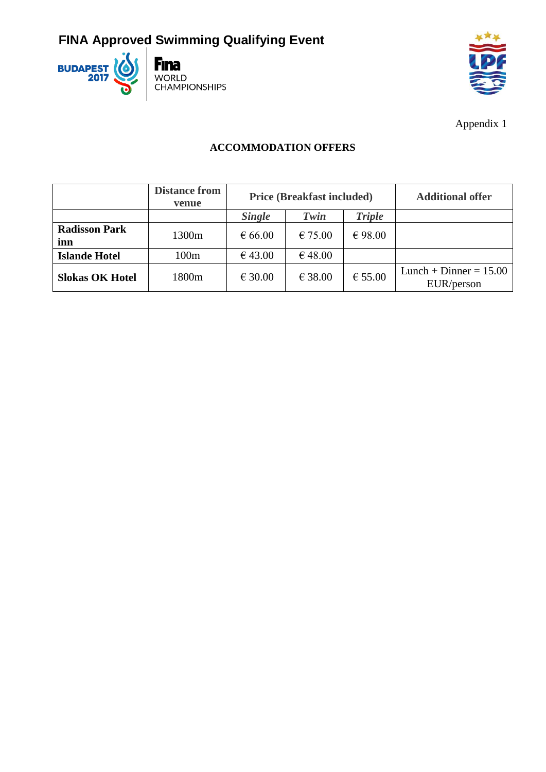



Appendix 1

### **ACCOMMODATION OFFERS**

|                             | <b>Distance from</b><br>venue | <b>Price (Breakfast included)</b> |         |                  | <b>Additional offer</b>                |
|-----------------------------|-------------------------------|-----------------------------------|---------|------------------|----------------------------------------|
|                             |                               | <b>Single</b>                     | Twin    | <b>Triple</b>    |                                        |
| <b>Radisson Park</b><br>inn | 1300m                         | € 66.00                           | € 75.00 | € 98.00          |                                        |
| <b>Islande Hotel</b>        | 100m                          | €43.00                            | €48.00  |                  |                                        |
| <b>Slokas OK Hotel</b>      | 1800m                         | € 30.00                           | € 38.00 | $\epsilon$ 55.00 | Lunch + Dinner = $15.00$<br>EUR/person |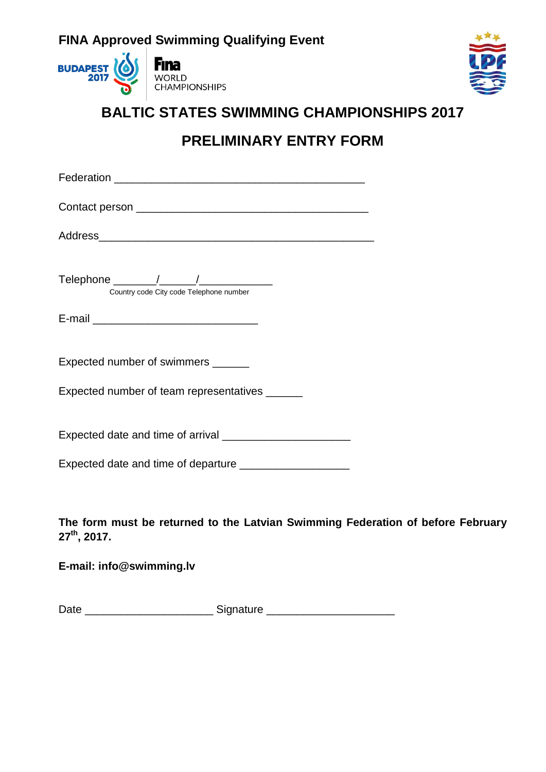



## **BALTIC STATES SWIMMING CHAMPIONSHIPS 2017**

# **PRELIMINARY ENTRY FORM**

| Telephone ________/______/___________<br>Country code City code Telephone number                            |
|-------------------------------------------------------------------------------------------------------------|
|                                                                                                             |
| Expected number of swimmers ______                                                                          |
| Expected number of team representatives ______                                                              |
|                                                                                                             |
| Expected date and time of departure _____________________                                                   |
| The form must be returned to the Latvian Swimming Federation of before February<br>27 <sup>th</sup> , 2017. |
| E-mail: info@swimming.lv                                                                                    |

Date \_\_\_\_\_\_\_\_\_\_\_\_\_\_\_\_\_\_\_\_\_\_\_\_\_\_\_\_\_\_\_Signature \_\_\_\_\_\_\_\_\_\_\_\_\_\_\_\_\_\_\_\_\_\_\_\_\_\_\_\_\_\_\_\_\_\_